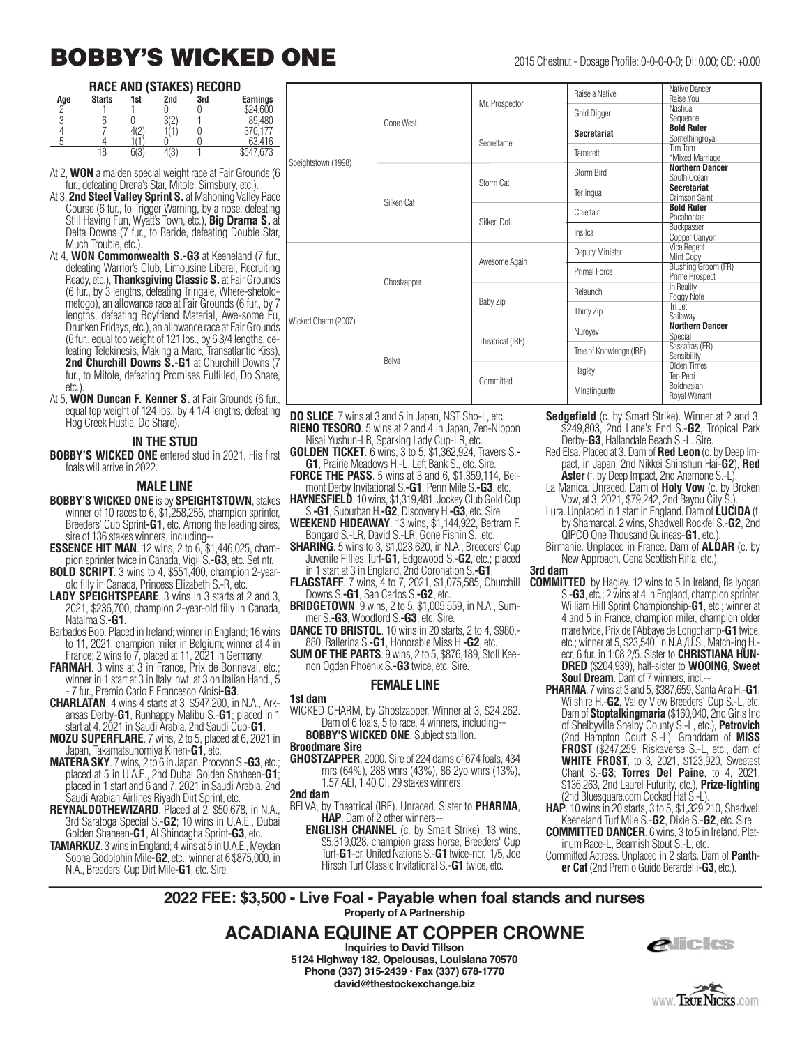# **BOBBY'S WICKED ONE** 2015 Chestnut - Dosage Profile: 0-0-0-0-0; DI: 0.00; CD: +0.00

#### **RACE AND (STAKES) RECORD**

| Age | <b>Starts</b> | 1st | 2nd         | 3rd | <b>Earnings</b> |
|-----|---------------|-----|-------------|-----|-----------------|
|     |               |     |             |     | \$24,600        |
|     |               |     | $\sqrt{2}$  |     | 89,480          |
|     |               |     |             |     | 370.177         |
|     |               |     |             |     | 63.416          |
|     | 18            |     | 1/2<br>٦IJ. |     | \$547.673       |

- At 2, **WON** a maiden special weight race at Fair Grounds (6 fur., defeating Drena's Star, Mitole, Simsbury, etc.).
- At 3, **2nd Steel Valley Sprint S.** at Mahoning Valley Race Course (6 fur., to Trigger Warning, by a nose, defeating Still Having Fun, Wyatt's Town, etc.), **Big Drama S.** at Delta Downs (7 fur., to Reride, defeating Double Star, Much Trouble, etc.).
- At 4, **WON Commonwealth S.-G3** at Keeneland (7 fur., defeating Warrior's Club, Limousine Liberal, Recruiting Ready, etc.), **Thanksgiving Classic S.** at Fair Grounds (6 fur., by 3 lengths, defeating Tringale, Where-shetoldmetogo), an allowance race at Fair Grounds (6 fur., by 7 lengths, defeating Boyfriend Material, Awe-some Fu, Drunken Fridays, etc.), an allowance race at Fair Grounds (6 fur., equal top weight of 121 lbs., by 6 3/4 lengths, defeating Telekinesis, Making a Marc, Transatlantic Kiss), **2nd Churchill Downs S.-G1** at Churchill Downs (7 fur., to Mitole, defeating Promises Fulfilled, Do Share, etc.).
- At 5, **WON Duncan F. Kenner S.** at Fair Grounds (6 fur., equal top weight of 124 lbs., by 4 1/4 lengths, defeating Hog Creek Hustle, Do Share).

#### **IN THE STUD**

**BOBBY'S WICKED ONE** entered stud in 2021. His first foals will arrive in 2022.

#### **MALE LINE**

- **BOBBY'S WICKED ONE** is by **SPEIGHTSTOWN**, stakes winner of 10 races to 6, \$1,258,256, champion sprinter, Breeders' Cup Sprint**-G1**, etc. Among the leading sires, sire of 136 stakes winners, including-
- **ESSENCE HIT MAN**. 12 wins, 2 to 6, \$1,446,025, champion sprinter twice in Canada, Vigil S.**-G3**, etc. Set ntr.
- **BOLD SCRIPT**. 3 wins to 4, \$551,400, champion 2-yearold filly in Canada, Princess Elizabeth S.-R, etc.
- **LADY SPEIGHTSPEARE**. 3 wins in 3 starts at 2 and 3, 2021, \$236,700, champion 2-year-old filly in Canada, Natalma S.**-G1**.
- Barbados Bob. Placed in Ireland; winner in England; 16 wins to 11, 2021, champion miler in Belgium; winner at 4 in France; 2 wins to 7, placed at 11, 2021 in Germany.
- **FARMAH**. 3 wins at 3 in France, Prix de Bonneval, etc.; winner in 1 start at 3 in Italy, hwt. at 3 on Italian Hand., 5 - 7 fur., Premio Carlo E Francesco Aloisi**-G3**.
- **CHARLATAN**. 4 wins 4 starts at 3, \$547,200, in N.A., Arkansas Derby-**G1**, Runhappy Malibu S.-**G1**; placed in 1 start at 4, 2021 in Saudi Arabia, 2nd Saudi Cup-**G1**.
- **MOZU SUPERFLARE**. 7 wins, 2 to 5, placed at 6, 2021 in Japan, Takamatsunomiya Kinen-**G1**, etc.
- **MATERA SKY**. 7 wins, 2 to 6 in Japan, Procyon S.-**G3**, etc.; placed at 5 in U.A.E., 2nd Dubai Golden Shaheen-**G1**; placed in 1 start and 6 and 7, 2021 in Saudi Arabia, 2nd Saudi Arabian Airlines Riyadh Dirt Sprint, etc.
- **REYNALDOTHEWIZARD**. Placed at 2, \$50,678, in N.A., 3rd Saratoga Special S.-**G2**; 10 wins in U.A.E., Dubai Golden Shaheen-**G1**, Al Shindagha Sprint-**G3**, etc.
- **TAMARKUZ**. 3 wins in England; 4 wins at 5 in U.A.E., Meydan Sobha Godolphin Mile**-G2**, etc.; winner at 6 \$875,000, in N.A., Breeders' Cup Dirt Mile**-G1**, etc. Sire.

|                     |             |                  | Raise a Native          | Native Dancer<br>Raise You                   |
|---------------------|-------------|------------------|-------------------------|----------------------------------------------|
|                     | Gone West   | Mr. Prospector   | Gold Digger             | Nashua<br>Sequence                           |
|                     |             | Secrettame       | <b>Secretariat</b>      | <b>Bold Ruler</b><br>Somethingroyal          |
|                     |             |                  | Tamerett                | Tim Tam<br>*Mixed Marriage                   |
| Speightstown (1998) | Silken Cat  |                  | Storm Bird              | <b>Northern Dancer</b><br>South Ocean        |
|                     |             | Storm Cat        | Terlingua               | <b>Secretariat</b><br>Crimson Saint          |
|                     |             | Silken Doll      | Chieftain               | <b>Bold Ruler</b><br>Pocahontas              |
|                     |             |                  | Insilca                 | Buckpasser<br>Copper Canyon                  |
|                     | Ghostzapper | Awesome Again    | Deputy Minister         | <b>Vice Regent</b><br>Mint Copy              |
|                     |             |                  | Primal Force            | <b>Blushing Groom (FR)</b><br>Prime Prospect |
|                     |             |                  | Relaunch                | In Reality<br>Foggy Note                     |
| Wicked Charm (2007) |             | Baby Zip         | Thirty Zip              | Tri Jet<br>Sailawav                          |
|                     | Belva       |                  | Nureyev                 | <b>Northern Dancer</b><br>Special            |
|                     |             | Theatrical (IRE) | Tree of Knowledge (IRE) | Sassafras (FR)<br>Sensibility                |
|                     |             |                  | Hagley                  | Olden Times<br>Teo Pepi                      |
|                     |             | Committed        | Minstinguette           | Boldnesian<br>Royal Warrant                  |

**DO SLICE**. 7 wins at 3 and 5 in Japan, NST Sho-L, etc. **RIENO TESORO**. 5 wins at 2 and 4 in Japan, Zen-Nippon

- Nisai Yushun-LR, Sparking Lady Cup-LR, etc.<br> **GOLDEN TICKET**. 6 wins, 3 to 5, \$1,362,924, Travers S.-**G1**, Prairie Meadows H.-L, Left Bank S., etc. Sire.
- **FORCE THE PASS**. 5 wins at 3 and 6, \$1,359,114, Belmont Derby Invitational S.**-G1**, Penn Mile S.**-G3**, etc.
- HAYNESFIELD. 10 wins, \$1,319,481, Jockey Club Gold Cup S.**-G1**, Suburban H.**-G2**, Discovery H.**-G3**, etc. Sire.
- **WEEKEND HIDEAWAY**. 13 wins, \$1,144,922, Bertram F. Bongard S.-LR, David S.-LR, Gone Fishin S., etc.
- **SHARING**. 5 wins to 3, \$1,023,620, in N.A., Breeders' Cup Juvenile Fillies Turf**-G1**, Edgewood S.**-G2**, etc.; placed in 1 start at 3 in England, 2nd Coronation S.**-G1**.
- **FLAGSTAFF**. 7 wins, 4 to 7, 2021, \$1,075,585, Churchill Downs S.**-G1**, San Carlos S.**-G2**, etc.
- **BRIDGETOWN**. 9 wins, 2 to 5, \$1,005,559, in N.A., Summer S.**-G3**, Woodford S.**-G3**, etc. Sire.
- **DANCE TO BRISTOL**. 10 wins in 20 starts, 2 to 4, \$980,- 880, Ballerina S.**-G1**, Honorable Miss H.**-G2**, etc.
- **SUM OF THE PARTS**. 9 wins, 2 to 5, \$876,189, Stoll Keenon Ogden Phoenix S.**-G3** twice, etc. Sire.

#### **FEMALE LINE**

#### **1st dam**

- WICKED CHARM, by Ghostzapper. Winner at 3, \$24,262. Dam of 6 foals, 5 to race, 4 winners, including--
- **BOBBY'S WICKED ONE.** Subject stallion. **Broodmare Sire**
- **GHOSTZAPPER**, 2000. Sire of 224 dams of 674 foals, 434 rnrs (64%), 288 wnrs (43%), 86 2yo wnrs (13%), 1.57 AEI, 1.40 CI, 29 stakes winners.

#### **2nd dam**

- BELVA, by Theatrical (IRE). Unraced. Sister to **PHARMA**, **HAP**. Dam of 2 other winners--
	- **ENGLISH CHANNEL** (c. by Smart Strike). 13 wins, \$5,319,028, champion grass horse, Breeders' Cup Turf-**G1**-cr, United Nations S.-**G1** twice-ncr, 1/5, Joe Hirsch Turf Classic Invitational S.-**G1** twice, etc.
- **Sedgefield** (c. by Smart Strike). Winner at 2 and 3, \$249,803, 2nd Lane's End S.-**G2**, Tropical Park Derby-**G3**, Hallandale Beach S.-L. Sire.
- Red Elsa. Placed at 3. Dam of **Red Leon** (c. by Deep Im pact, in Japan, 2nd Nikkei Shinshun Hai-**G2**), **Red Aster** (f. by Deep Impact, 2nd Anemone S.-L).
- La Manica. Unraced. Dam of **Holy Vow** (c. by Broken Vow, at 3, 2021, \$79,242, 2nd Bayou City S.).
- Lura. Unplaced in 1 start in England. Dam of **LUCIDA** (f. by Shamardal. 2 wins, Shadwell Rockfel S.-**G2**, 2nd QIPCO One Thousand Guineas-**G1**, etc.).
- Birmanie. Unplaced in France. Dam of **ALDAR** (c. by New Approach, Cena Scottish Rifla, etc.).

**3rd dam**

- **COMMITTED**, by Hagley. 12 wins to 5 in Ireland, Ballyogan S.-**G3**, etc.; 2 wins at 4 in England, champion sprinter, William Hill Sprint Championship-**G1**, etc.; winner at 4 and 5 in France, champion miler, champion older mare twice, Prix de l'Abbaye de Longchamp-**G1** twice, etc.; winner at 5, \$23,540, in N.A./U.S., Match-ing H. ecr, 6 fur. in 1:08 2/5. Sister to **CHRISTIANA HUN-DRED** (\$204,939), half-sister to **WOOING**, **Sweet Soul Dream**. Dam of 7 winners, incl.--
	- **PHARMA**. 7 wins at 3 and 5, \$387,659, Santa Ana H.-**G1**, Wilshire H.-**G2**, Valley View Breeders' Cup S.-L, etc. Dam of **Stoptalkingmaria** (\$160,040, 2nd Girls Inc of Shelbyville Shelby County S.-L, etc.), **Petrovich** (2nd Hampton Court S.-L). Granddam of **MISS FROST** (\$247,259, Riskaverse S.-L, etc., dam of **WHITE FROST**, to 3, 2021, \$123,920, Sweetest Chant S.-**G3**; **Torres Del Paine**, to 4, 2021, \$136,263, 2nd Laurel Futurity, etc.), **Prize-fighting** (2nd Bluesquare.com Cocked Hat S.-L).
	- **HAP**. 10 wins in 20 starts, 3 to 5, \$1,329,210, Shadwell Keeneland Turf Mile S.-**G2**, Dixie S.-**G2**, etc. Sire.
	- **COMMITTED DANCER**. 6 wins, 3 to 5 in Ireland, Platinum Race-L, Beamish Stout S.-L, etc.
	- Committed Actress. Unplaced in 2 starts. Dam of **Panther Cat** (2nd Premio Guido Berardelli-**G3**, etc.).

**2022 FEE: \$3,500 - Live Foal - Payable when foal stands and nurses Property of A Partnership**

### **ACADIANA EQUINE AT COPPER CROWNE**

**Inquiries to David Tillson 5124 Highway 182, Opelousas, Louisiana 70570 Phone (337) 315-2439 • Fax (337) 678-1770 david@thestockexchange.biz** 



**WWW. TRUE NICKS.com**